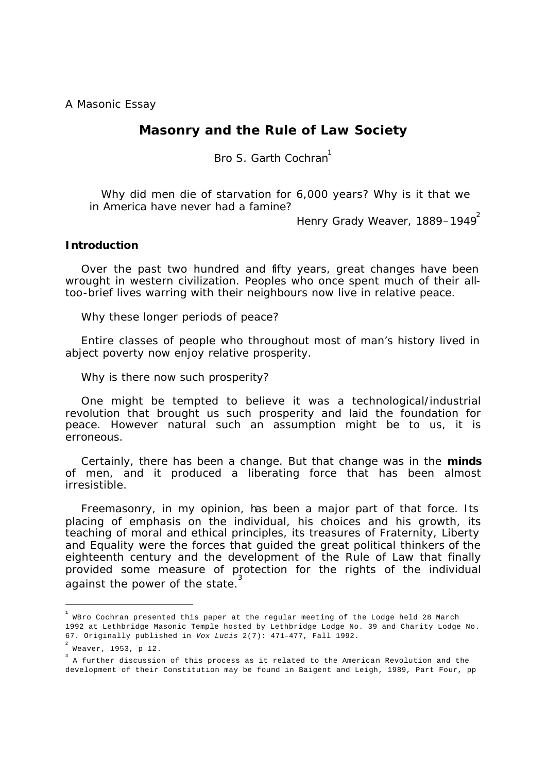A Masonic Essay

# **Masonry and the Rule of Law Society**

Bro S. Garth Cochran<sup>1</sup>

Why did men die of starvation for 6,000 years? Why is it that we in America have never had a famine?

Henry Grady Weaver, 1889–1949<sup>2</sup>

### **Introduction**

Over the past two hundred and fifty years, great changes have been wrought in western civilization. Peoples who once spent much of their alltoo-brief lives warring with their neighbours now live in relative peace.

Why these longer periods of peace?

Entire classes of people who throughout most of man's history lived in abject poverty now enjoy relative prosperity.

Why is there now such prosperity?

One might be tempted to believe it was a technological/industrial revolution that brought us such prosperity and laid the foundation for peace. However natural such an assumption might be to us, it is erroneous.

Certainly, there has been a change. But that change was in the *minds* of men, and it produced a liberating force that has been almost irresistible.

Freemasonry, in my opinion, has been a major part of that force. Its placing of emphasis on the individual, his choices and his growth, its teaching of moral and ethical principles, its treasures of Fraternity, Liberty and Equality were the forces that quided the great political thinkers of the eighteenth century and the development of the Rule of Law that finally provided some measure of protection for the rights of the individual against the power of the state.

 $^{\rm 1}$  WBro Cochran presented this paper at the regular meeting of the Lodge held 28 March 1992 at Lethbridge Masonic Temple hosted by Lethbridge Lodge No. 39 and Charity Lodge No. 67. Originally published in *Vox Lucis* 2(7): 471–477, Fall 1992.

<sup>2</sup> Weaver, 1953, p 12.

<sup>&</sup>lt;sup>3</sup> A further discussion of this process as it related to the American Revolution and the development of their Constitution may be found in Baigent and Leigh, 1989, Part Four, pp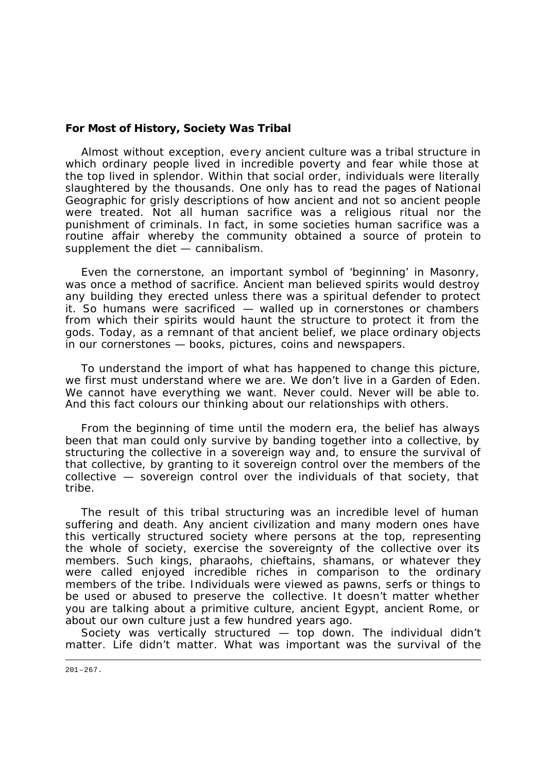## **For Most of History, Society Was Tribal**

Almost without exception, every ancient culture was a tribal structure in which ordinary people lived in incredible poverty and fear while those at the top lived in splendor. Within that social order, individuals were literally slaughtered by the thousands. One only has to read the pages of *National Geographic* for grisly descriptions of how ancient and not so ancient people were treated. Not all human sacrifice was a religious ritual nor the punishment of criminals. In fact, in some societies human sacrifice was a routine affair whereby the community obtained a source of protein to supplement the diet — cannibalism.

Even the cornerstone, an important symbol of 'beginning' in Masonry, was once a method of sacrifice. Ancient man believed spirits would destroy any building they erected unless there was a spiritual defender to protect it. So humans were sacrificed — walled up in cornerstones or chambers from which their spirits would haunt the structure to protect it from the gods. Today, as a remnant of that ancient belief, we place ordinary objects in our cornerstones — books, pictures, coins and newspapers.

To understand the import of what has happened to change this picture, we first must understand where we are. We don't live in a Garden of Eden. We cannot have everything we want. Never could. Never will be able to. And this fact colours our thinking about our relationships with others.

From the beginning of time until the modern era, the belief has always been that man could only survive by banding together into a collective, by structuring the collective in a sovereign way and, to ensure the survival of that collective, by granting to it sovereign control over the members of the collective — sovereign control over the individuals of that society, that tribe.

The result of this tribal structuring was an incredible level of human suffering and death. Any ancient civilization and many modern ones have this vertically structured society where persons at the top, representing the whole of society, exercise the sovereignty of the collective over its members. Such kings, pharaohs, chieftains, shamans, or whatever they were called enjoyed incredible riches in comparison to the ordinary members of the tribe. Individuals were viewed as pawns, serfs or things to be used or abused to preserve the collective. It doesn't matter whether you are talking about a primitive culture, ancient Egypt, ancient Rome, or about our own culture just a few hundred years ago.

Society was vertically structured — top down. The individual didn't matter. Life didn't matter. What was important was the survival of the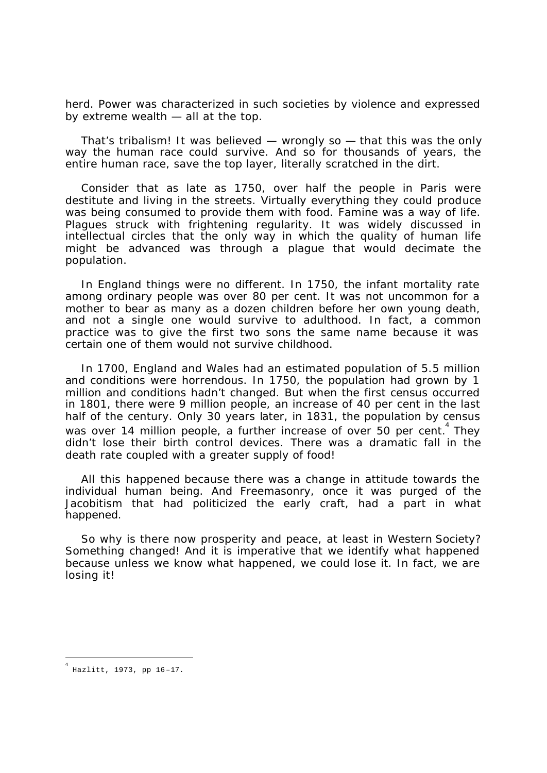herd. Power was characterized in such societies by violence and expressed by extreme wealth — all at the top.

That's tribalism! It was believed — wrongly so — that this was the *only* way the human race could survive. And so for thousands of years, the entire human race, save the top layer, literally scratched in the dirt.

Consider that as late as 1750, over half the people in Paris were destitute and living in the streets. Virtually everything they could produce was being consumed to provide them with food. Famine was a way of life. Plagues struck with frightening regularity. It was widely discussed in intellectual circles that the only way in which the quality of human life might be advanced was through a plague that would decimate the population.

In England things were no different. In 1750, the infant mortality rate among ordinary people was over 80 per cent. It was not uncommon for a mother to bear as many as a dozen children before her own young death, and not a single one would survive to adulthood. In fact, a common practice was to give the first two sons the same name because it was certain one of them would not survive childhood.

In 1700, England and Wales had an estimated population of 5.5 million and conditions were horrendous. In 1750, the population had grown by 1 million and conditions hadn't changed. But when the first census occurred in 1801, there were 9 million people, an increase of 40 per cent in the last half of the century. Only 30 years later, in 1831, the population by census was over 14 million people, a further increase of over 50 per cent. <sup>4</sup> They didn't lose their birth control devices. There was a dramatic fall in the death rate coupled with a greater supply of food!

All this happened because there was a change in attitude towards the individual human being. And Freemasonry, once it was purged of the Jacobitism that had politicized the early craft, had a part in what happened.

So why is there now prosperity and peace, at least in Western Society? Something changed! And it is imperative that we identify what happened because unless we know what happened, we could lose it. In fact, we are losing it!

l

<sup>4</sup> Hazlitt, 1973, pp 16–17.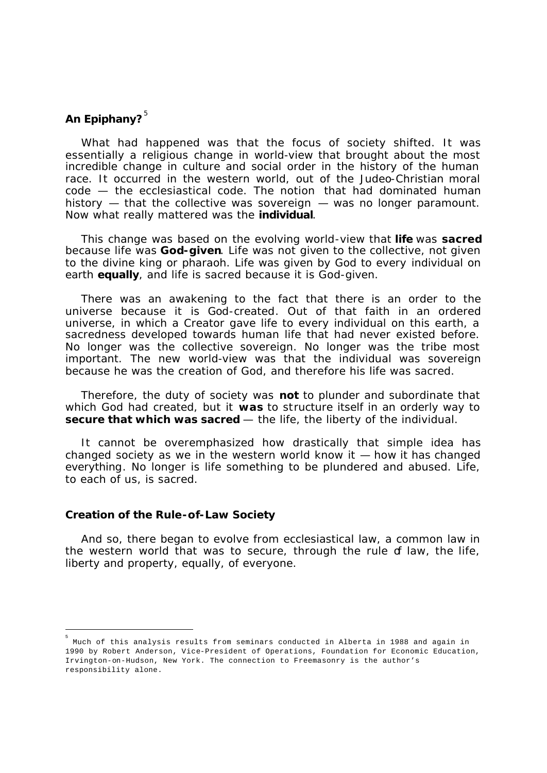# **An Epiphany?**<sup>5</sup>

What had happened was that the focus of society shifted. It was essentially a religious change in world-view that brought about the most incredible change in culture and social order in the history of the human race. It occurred in the western world, out of the Judeo-Christian moral code — the ecclesiastical code. The notion that had dominated human history — that the collective was sovereign — was no longer paramount. Now what really mattered was the *individual*.

This change was based on the evolving world-view that *life* was *sacred* because life was *God-given*. Life was not given to the collective, not given to the divine king or pharaoh. Life was given by God to every *individual* on earth *equally*, and life is sacred because it is God-given.

There was an awakening to the fact that there is an order to the universe because it is *God-created*. Out of that faith in an ordered universe, in which a Creator gave life to every individual on this earth, a sacredness developed towards human life that had never existed before. No longer was the collective sovereign. No longer was the tribe most important. The new world-view was that the individual was sovereign because he was the creation of God, and therefore his life was sacred.

Therefore, the duty of society was **not** to plunder and subordinate that which God had created, but it **was** to structure itself in an orderly way to *secure that which was sacred* — the life, the liberty of the individual.

It cannot be overemphasized how drastically that simple idea has changed society as we in the western world know it — how it has changed everything. No longer is life something to be plundered and abused. Life, to each of us, is sacred.

### **Creation of the Rule-of-Law Society**

 $\overline{a}$ 

And so, there began to evolve from ecclesiastical law, a common law in the western world that was to secure, through the rule of law, the life, liberty and property, equally, of everyone.

<sup>5</sup> Much of this analysis results from seminars conducted in Alberta in 1988 and again in 1990 by Robert Anderson, Vice-President of Operations, Foundation for Economic Education, Irvington-on-Hudson, New York. The connection to Freemasonry is the author's responsibility alone.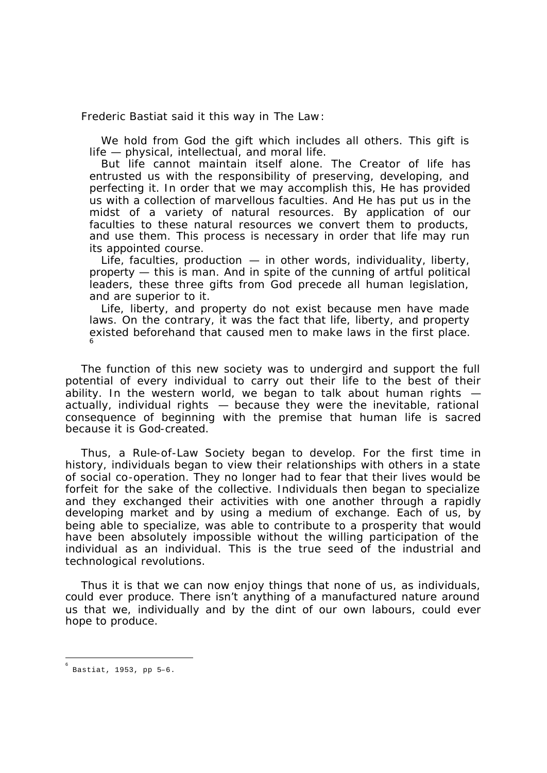Frederic Bastiat said it this way in *The Law* :

We hold from God the gift which includes all others. This gift is life — physical, intellectual, and moral life.

But life cannot maintain itself alone. The Creator of life has entrusted us with the responsibility of preserving, developing, and perfecting it. In order that we may accomplish this, He has provided us with a collection of marvellous faculties. And He has put us in the midst of a variety of natural resources. By application of our faculties to these natural resources we convert them to products, and use them. This process is necessary in order that life may run its appointed course.

Life, faculties, production — in other words, individuality, liberty, property — this is man. And in spite of the cunning of artful political leaders, these three gifts from God precede all human legislation, and are superior to it.

Life, liberty, and property do not exist because men have made laws. On the contrary, it was the fact that life, liberty, and property existed beforehand that caused men to make laws in the first place. 6

The function of this new society was to undergird and support the full potential of every individual to carry out their life to the best of their ability. In the western world, we began to talk about human rights  $$ actually, individual rights — because they were the inevitable, rational consequence of beginning with the premise that human life is sacred because it is God-created.

Thus, a Rule-of-Law Society began to develop. For the first time in history, individuals began to view their relationships with others in a state of social co-operation. They no longer had to fear that their lives would be forfeit for the sake of the collective. Individuals then began to specialize and they exchanged their activities with one another through a rapidly developing market and by using a medium of exchange. Each of us, by being able to specialize, was able to contribute to a prosperity that would have been absolutely impossible without the willing participation of the individual *as* an individual. This is the true seed of the industrial and technological revolutions.

Thus it is that we can now enjoy things that none of us, as individuals, could ever produce. There isn't anything of a manufactured nature around us that we, individually and by the dint of our own labours, could ever hope to produce.

l

<sup>6</sup> Bastiat, 1953, pp 5–6.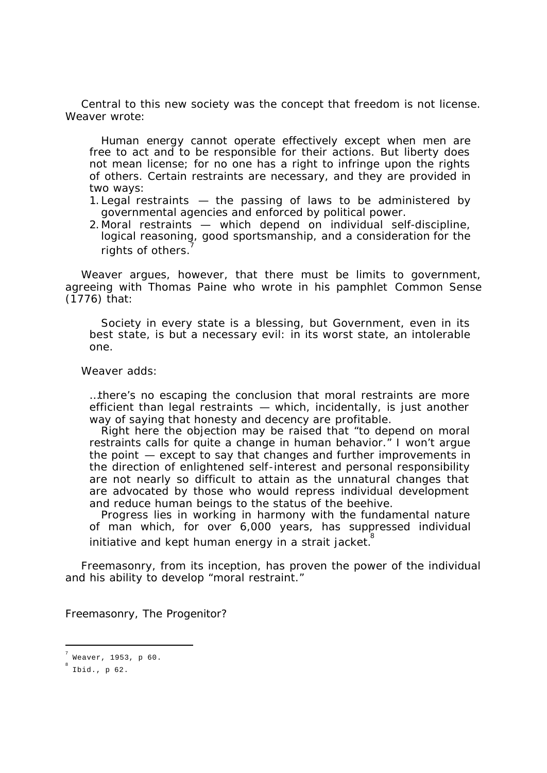Central to this new society was the concept that freedom is not license. Weaver wrote:

Human energy cannot operate effectively except when men are free to act and to be responsible for their actions. But liberty does not mean license; for no one has a right to infringe upon the rights of others. Certain restraints are necessary, and they are provided in two ways:

- 1. Legal restraints the passing of laws to be administered by governmental agencies and enforced by political power.
- 2. Moral restraints which depend on individual self-discipline, logical reasoning, good sportsmanship, and a consideration for the rights of others.

Weaver argues, however, that there must be limits to government, agreeing with Thomas Paine who wrote in his pamphlet *Common Sense* (1776) that:

Society in every state is a blessing, but Government, even in its best state, is but a necessary evil: in its worst state, an intolerable one.

Weaver adds:

…there's no escaping the conclusion that moral restraints are more efficient than legal restraints — which, incidentally, is just another way of saying that honesty and decency are profitable.

Right here the objection may be raised that "to depend on moral restraints calls for quite a change in human behavior." I won't argue the point — except to say that changes and further improvements in the direction of enlightened self-interest and personal responsibility are not nearly so difficult to attain as the unnatural changes that are advocated by those who would repress individual development and reduce human beings to the status of the beehive.

Progress lies in working in harmony with the fundamental nature of man which, for over 6,000 years, has suppressed individual initiative and kept human energy in a strait jacket.

Freemasonry, from its inception, has proven the power of the individual and his ability to develop "moral restraint."

Freemasonry, The Progenitor?

<sup>7</sup> Weaver, 1953, p 60.

<sup>8</sup> Ibid., p 62.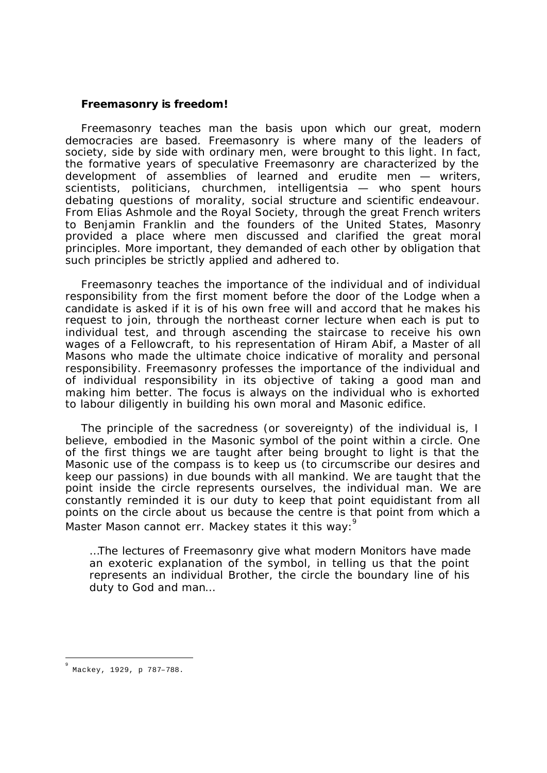### **Freemasonry** *is* **freedom!**

Freemasonry teaches man the basis upon which our great, modern democracies are based. Freemasonry is where many of the leaders of society, side by side with ordinary men, were brought to this light. In fact, the formative years of speculative Freemasonry are characterized by the development of assemblies of learned and erudite men — writers, scientists, politicians, churchmen, intelligentsia — who spent hours debating questions of morality, social structure and scientific endeavour. From Elias Ashmole and the Royal Society, through the great French writers to Benjamin Franklin and the founders of the United States, Masonry provided a place where men discussed and clarified the great moral principles. More important, they demanded of each other by obligation that such principles be strictly applied and adhered to.

Freemasonry teaches the importance of the individual and of individual responsibility from the first moment before the door of the Lodge when a candidate is asked if it is of his own free will and accord that he makes his request to join, through the northeast corner lecture when each is put to individual test, and through ascending the staircase to receive his own wages of a Fellowcraft, to his representation of Hiram Abif, a Master of all Masons who made the ultimate choice indicative of morality and personal responsibility. Freemasonry professes the importance of the individual and of individual responsibility in its objective of taking a good man and making him better. The focus is always on the individual who is exhorted to labour diligently in building his own moral and Masonic edifice.

The principle of the sacredness (or sovereignty) of the individual is, I believe, embodied in the Masonic symbol of the point within a circle. One of the first things we are taught after being brought to light is that the Masonic use of the compass is to keep us (to circumscribe our desires and keep our passions) in due bounds with all mankind. We are taught that the point inside the circle represents ourselves, the individual man. We are constantly reminded it is our duty to keep that point equidistant from all points on the circle about us because the centre is that point from which a Master Mason cannot err. Mackey states it this way:

…The lectures of Freemasonry give what modern Monitors have made an exoteric explanation of the symbol, in telling us that the point represents an individual Brother, the circle the boundary line of his duty to God and man…

l

<sup>9</sup> Mackey, 1929, p 787–788.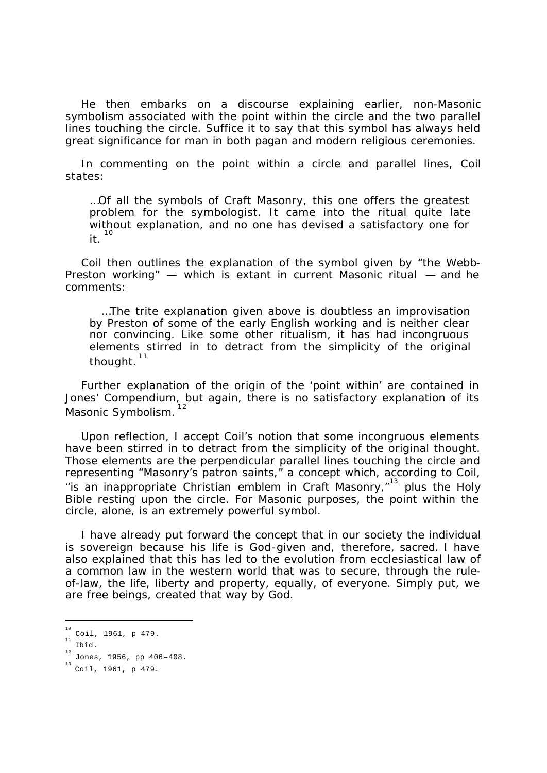He then embarks on a discourse explaining earlier, non-Masonic symbolism associated with the point within the circle and the two parallel lines touching the circle. Suffice it to say that this symbol has always held great significance for man in both pagan and modern religious ceremonies.

In commenting on the point within a circle and parallel lines, Coil states:

…Of all the symbols of Craft Masonry, this one offers the greatest problem for the symbologist. It came into the ritual quite late without explanation, and no one has devised a satisfactory one for  $it.$ <sup>10</sup>

Coil then outlines the explanation of the symbol given by "the Webb-Preston working" — which is extant in current Masonic ritual — and he comments:

…The trite explanation given above is doubtless an improvisation by Preston of some of the early English working and is neither clear nor convincing. Like some other ritualism, it has had incongruous elements stirred in to detract from the simplicity of the original thought.<sup>11</sup>

Further explanation of the origin of the 'point within' are contained in Jones' Compendium, but again, there is no satisfactory explanation of its Masonic Symbolism.

Upon reflection, I accept Coil's notion that some incongruous elements have been stirred in to detract from the simplicity of the original thought. Those elements are the perpendicular parallel lines touching the circle and representing "Masonry's patron saints," a concept which, according to Coil, "is an inappropriate *Christian* emblem in Craft Masonry,"<sup>13</sup> plus the Holy Bible resting upon the circle. For Masonic purposes, the point within the circle, alone, is an extremely powerful symbol.

I have already put forward the concept that in our society the individual is sovereign because his life is God-given and, therefore, sacred. I have also explained that this has led to the evolution from ecclesiastical law of a common law in the western world that was to secure, through the ruleof-law, the life, liberty and property, equally, of everyone. Simply put, we are free beings, created that way by God.

<sup>&</sup>lt;sup>10</sup> Coil, 1961, p 479.

Ibid.

 $^{12}$  Jones, 1956, pp 406-408.

<sup>13</sup> Coil, 1961, p 479*.*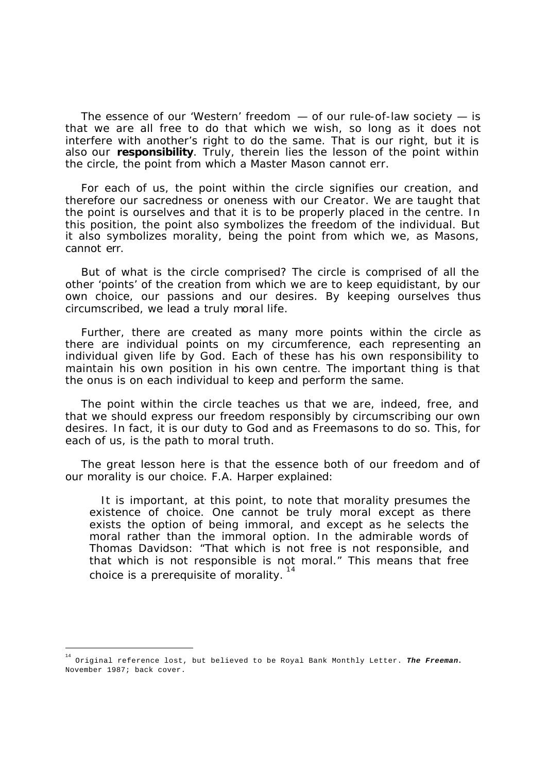The essence of our 'Western' freedom — of our rule-of-law society — is that we are all free to do that which we wish, so long as it does not interfere with another's right to do the same. That is our right, but it is also our *responsibility*. Truly, therein lies the lesson of the point within the circle, the point from which a Master Mason cannot err.

For each of us, the point within the circle signifies our creation, and therefore our sacredness or oneness with our Creator. We are taught that the point is ourselves and that it is to be properly placed in the centre. In this position, the point also symbolizes the freedom of the individual. But it also symbolizes morality, being the point from which we, as Masons, cannot err.

But of what is the circle comprised? The circle is comprised of all the other 'points' of the creation from which we are to keep equidistant, by our own choice, our passions and our desires. By keeping ourselves thus circumscribed, we lead a truly moral life.

Further, there are created as many more points within the circle as there are individual points on my circumference, each representing an individual given life by God. Each of these has his own responsibility to maintain his own position in his own centre. The important thing is that the onus is on each individual to keep and perform the same.

The point within the circle teaches us that we are, indeed, free, and that we should express our freedom responsibly by circumscribing our own desires. In fact, it is our duty to God and as Freemasons to do so. This, for each of us, is the path to moral truth.

The great lesson here is that the essence both of our freedom and of our morality is our choice. F.A. Harper explained:

It is important, at this point, to note that morality presumes the existence of choice. One cannot be truly moral except as there exists the option of being immoral, and except as he selects the moral rather than the immoral option. In the admirable words of Thomas Davidson: "That which is not free is not responsible, and that which is not responsible is not moral." This means that free choice is a prerequisite of morality.<sup>14</sup>

<sup>14</sup> Original reference lost, but believed to be Royal Bank Monthly Letter. *The Freeman***.** November 1987; back cover.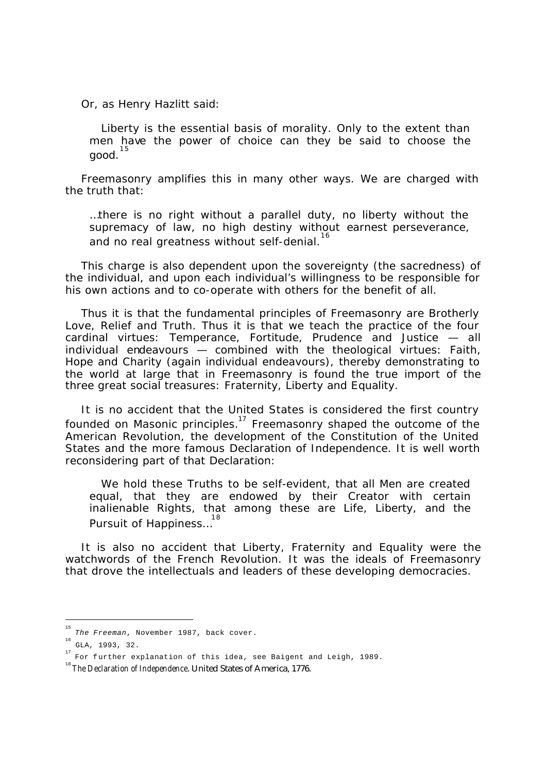Or, as Henry Hazlitt said:

Liberty is the essential basis of morality. Only to the extent than men have the power of choice can they be said to choose the good.<sup>15</sup>

Freemasonry amplifies this in many other ways. We are charged with the truth that:

…there is no right without a parallel duty, no liberty without the supremacy of law, no high destiny without earnest perseverance, and no real greatness without self-denial.<sup>16</sup>

This charge is also dependent upon the sovereignty (the sacredness) of the individual, and upon each individual's willingness to be responsible for his own actions and to co-operate with others for the benefit of all.

Thus it is that the fundamental principles of Freemasonry are Brotherly Love, Relief and Truth. Thus it is that we teach the practice of the four cardinal virtues: Temperance, Fortitude, Prudence and Justice — all individual endeavours — combined with the theological virtues: Faith, Hope and Charity (again individual endeavours), thereby demonstrating to the world at large that in Freemasonry is found the true import of the three great social treasures: Fraternity, Liberty and Equality.

It is no accident that the United States is considered the first country founded on Masonic principles.<sup>17</sup> Freemasonry shaped the outcome of the American Revolution, the development of the Constitution of the United States and the more famous Declaration of Independence. It is well worth reconsidering part of that Declaration:

We hold these Truths to be self-evident, that all Men are created equal, that they are endowed by their Creator with certain inalienable Rights, that among these are Life, Liberty, and the Pursuit of Happiness...<sup>18</sup>

It is also no accident that Liberty, Fraternity and Equality were the watchwords of the French Revolution. It was the ideals of Freemasonry that drove the intellectuals and leaders of these developing democracies.

 15 *The Freeman*, November 1987, back cover.

<sup>16</sup> GLA, 1993, 32.

<sup>&</sup>lt;sup>17</sup> For further explanation of this idea, see Baigent and Leigh, 1989.

<sup>&</sup>lt;sup>18</sup> The Declaration of Independence. United States of America, 1776.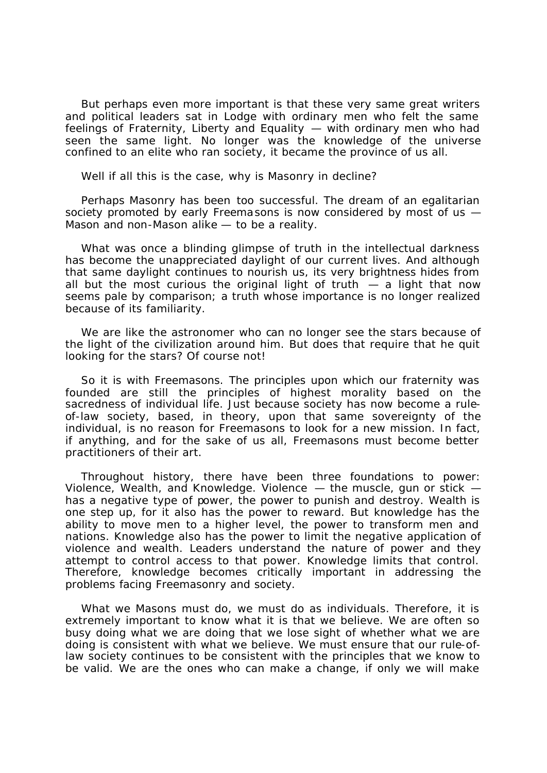But perhaps even more important is that these very same great writers and political leaders sat in Lodge with ordinary men who felt the same feelings of Fraternity, Liberty and Equality — with ordinary men who had seen the same light. No longer was the knowledge of the universe confined to an elite who ran society, it became the province of us all.

Well if all this is the case, why is Masonry in decline?

Perhaps Masonry has been *too* successful. The dream of an egalitarian society promoted by early Freemasons is now considered by most of us — Mason and non-Mason alike — to be a reality.

What was once a blinding glimpse of truth in the intellectual darkness has become the unappreciated daylight of our current lives. And although that same daylight continues to nourish us, its very brightness hides from all but the most curious the original light of truth  $-$  a light that now seems pale by comparison; a truth whose importance is no longer realized because of its familiarity.

We are like the astronomer who can no longer see the stars because of the light of the civilization around him. But does that require that he quit looking for the stars? Of course not!

So it is with Freemasons. The principles upon which our fraternity was founded are still the principles of highest morality based on the sacredness of individual life. Just because society has now become a ruleof-law society, based, in theory, upon that same sovereignty of the individual, is no reason for Freemasons to look for a new mission. In fact, if anything, and for the sake of us all, Freemasons must become better practitioners of their art.

Throughout history, there have been three foundations to power: Violence, Wealth, and Knowledge. Violence  $-$  the muscle, gun or stick  $$ has a negative type of power, the power to punish and destroy. Wealth is one step up, for it also has the power to reward. But knowledge has the ability to move men to a higher level, the power to transform men and nations. Knowledge also has the power to limit the negative application of violence and wealth. Leaders understand the nature of power and they attempt to control access to that power. Knowledge limits that control. Therefore, knowledge becomes critically important in addressing the problems facing Freemasonry and society.

What we Masons must do, we must do as individuals. Therefore, it is extremely important to know what it is that we believe. We are often so busy doing what we are doing that we lose sight of whether what we are doing is consistent with what we believe. We must ensure that our rule-oflaw society continues to be consistent with the principles that we know to be valid. We are the ones who can make a change, if only we will make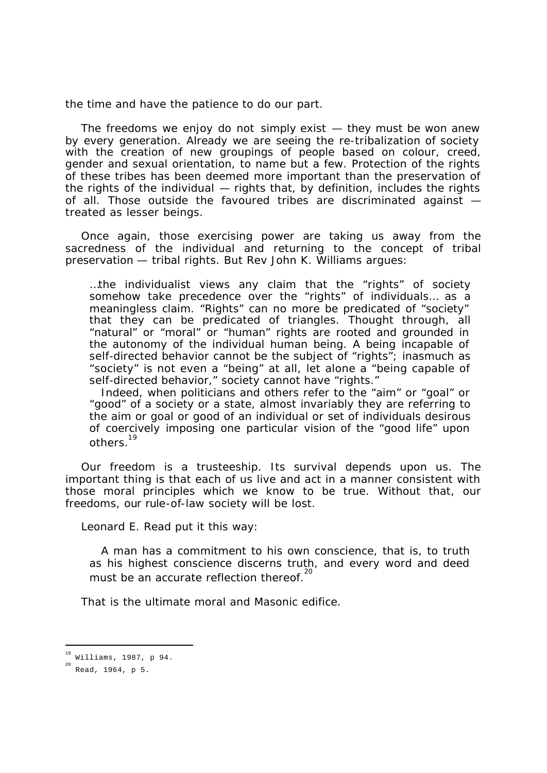the time and have the patience to do our part.

The freedoms we enjoy do not simply exist — they must be won anew by every generation. Already we are seeing the re-tribalization of society with the creation of new groupings of people based on colour, creed, gender and sexual orientation, to name but a few. Protection of the rights of these tribes has been deemed more important than the preservation of the rights of the individual — rights that, by definition, includes the rights of all. Those outside the favoured tribes are discriminated against treated as lesser beings.

Once again, those exercising power are taking us away from the sacredness of the individual and returning to the concept of tribal preservation — tribal rights. But Rev John K. Williams argues:

…the individualist views any claim that the "rights" of society somehow take precedence over the "rights" of individuals… as a meaningless claim. "Rights" can no more be predicated of "society" that they can be predicated of triangles. Thought through, all "natural" or "moral" or "human" rights are rooted and grounded in the autonomy of the individual human being. A being incapable of self-directed behavior cannot be the subject of "rights"; inasmuch as "society" is not even a "being" at all, let alone a "being capable of self-directed behavior," society cannot have "rights."

Indeed, when politicians and others refer to the "aim" or "goal" or "good" of a society or a state, almost invariably they are referring to the aim or goal or good of an individual or set of individuals desirous of coercively imposing one particular vision of the "good life" upon others.<sup>19</sup>

Our freedom is a trusteeship. Its survival depends upon us. The important thing is that each of us live and act in a manner consistent with those moral principles which we know to be true. Without that, our freedoms, our rule-of-law society will be lost.

Leonard E. Read put it this way:

A man has a commitment to his own conscience, that is, to truth as his highest conscience discerns truth, and every word and deed must be an accurate reflection thereof.<sup>20</sup>

That is the ultimate moral and Masonic edifice.

<sup>19</sup> Williams, 1987, p 94.

<sup>20</sup> Read, 1964, p 5.